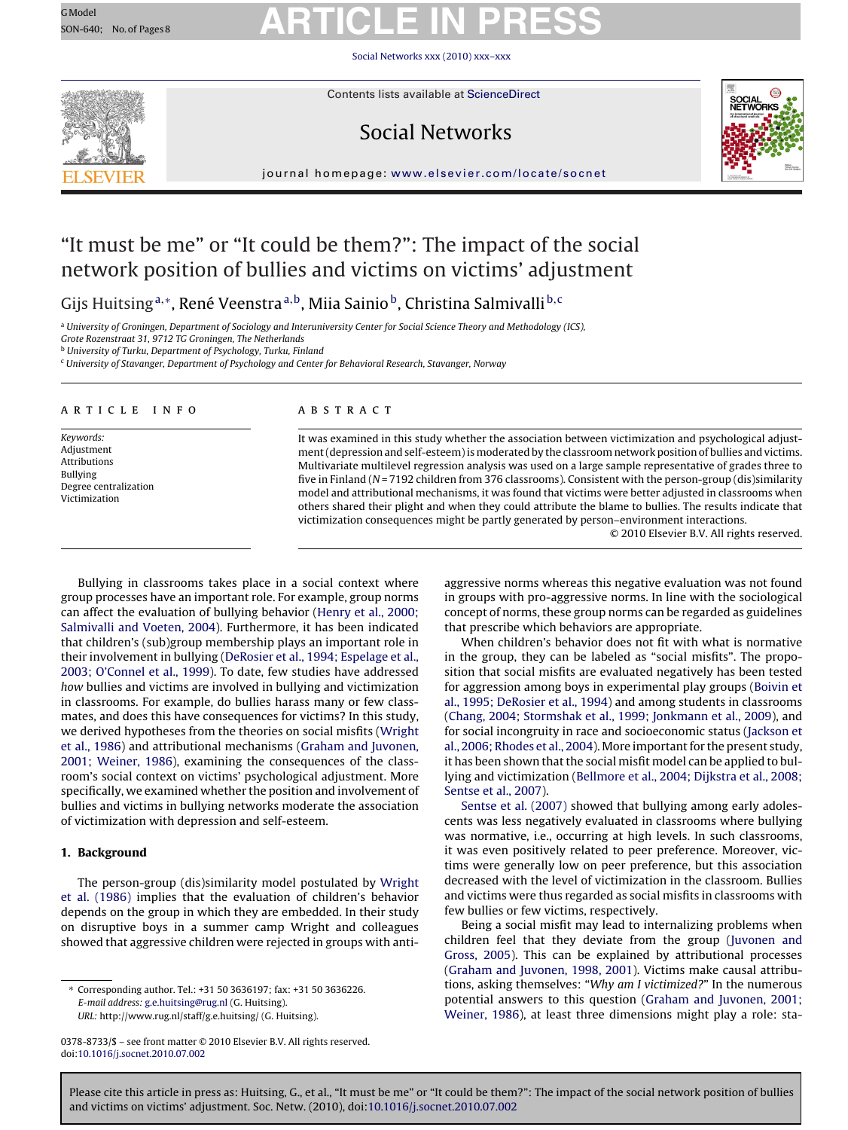Social Networks [xxx \(2010\) xxx–xxx](dx.doi.org/10.1016/j.socnet.2010.07.002)



Contents lists available at [ScienceDirect](http://www.sciencedirect.com/science/journal/03788733)

### Social Networks



journal homepage: [www.elsevier.com/locate/socnet](http://www.elsevier.com/locate/socnet)

### "It must be me" or "It could be them?": The impact of the social network position of bullies and victims on victims' adjustment

Gijs Huitsing<sup>a,∗</sup>, René Veenstra<sup>a,b</sup>, Miia Sainio<sup>b</sup>, Christina Salmivalli<sup>b,c</sup>

a University of Groningen, Department of Sociology and Interuniversity Center for Social Science Theory and Methodology (ICS),

Grote Rozenstraat 31, 9712 TG Groningen, The Netherlands <sup>b</sup> University of Turku, Department of Psychology, Turku, Finland

<sup>c</sup> University of Stavanger, Department of Psychology and Center for Behavioral Research, Stavanger, Norway

#### article info

Keywords: Adjustment Attributions Bullying Degree centralization Victimization

#### ABSTRACT

It was examined in this study whether the association between victimization and psychological adjustment (depression and self-esteem) is moderated by the classroom network position of bullies and victims. Multivariate multilevel regression analysis was used on a large sample representative of grades three to five in Finland (N = 7192 children from 376 classrooms). Consistent with the person-group (dis)similarity model and attributional mechanisms, it was found that victims were better adjusted in classrooms when others shared their plight and when they could attribute the blame to bullies. The results indicate that victimization consequences might be partly generated by person–environment interactions.

© 2010 Elsevier B.V. All rights reserved.

Bullying in classrooms takes place in a social context where group processes have an important role. For example, group norms can affect the evaluation of bullying behavior [\(Henry et al., 2000;](#page-7-0) [Salmivalli and Voeten, 2004\).](#page-7-0) Furthermore, it has been indicated that children's (sub)group membership plays an important role in their involvement in bullying [\(DeRosier et al., 1994; Espelage et al.,](#page-7-0) [2003; O'Connel et al., 1999\).](#page-7-0) To date, few studies have addressed how bullies and victims are involved in bullying and victimization in classrooms. For example, do bullies harass many or few classmates, and does this have consequences for victims? In this study, we derived hypotheses from the theories on social misfits [\(Wright](#page-7-0) [et al., 1986\)](#page-7-0) and attributional mechanisms [\(Graham and Juvonen,](#page-7-0) [2001; Weiner, 1986\),](#page-7-0) examining the consequences of the classroom's social context on victims' psychological adjustment. More specifically, we examined whether the position and involvement of bullies and victims in bullying networks moderate the association of victimization with depression and self-esteem.

### **1. Background**

The person-group (dis)similarity model postulated by [Wright](#page-7-0) [et al. \(1986\)](#page-7-0) implies that the evaluation of children's behavior depends on the group in which they are embedded. In their study on disruptive boys in a summer camp Wright and colleagues showed that aggressive children were rejected in groups with anti-

∗ Corresponding author. Tel.: +31 50 3636197; fax: +31 50 3636226. E-mail address: [g.e.huitsing@rug.nl](mailto:g.e.huitsing@rug.nl) (G. Huitsing). URL: http://www.rug.nl/staff/g.e.huitsing/ (G. Huitsing).

0378-8733/\$ – see front matter © 2010 Elsevier B.V. All rights reserved. doi:[10.1016/j.socnet.2010.07.002](dx.doi.org/10.1016/j.socnet.2010.07.002)

aggressive norms whereas this negative evaluation was not found in groups with pro-aggressive norms. In line with the sociological concept of norms, these group norms can be regarded as guidelines that prescribe which behaviors are appropriate.

When children's behavior does not fit with what is normative in the group, they can be labeled as "social misfits". The proposition that social misfits are evaluated negatively has been tested for aggression among boys in experimental play groups ([Boivin et](#page-7-0) [al., 1995; DeRosier et al., 1994\)](#page-7-0) and among students in classrooms [\(Chang, 2004; Stormshak et al., 1999; Jonkmann et al., 2009\),](#page-7-0) and for social incongruity in race and socioeconomic status [\(Jackson et](#page-7-0) [al., 2006; Rhodes et al., 2004\).](#page-7-0) More important for the present study, it has been shown that the social misfit model can be applied to bullying and victimization ([Bellmore et al., 2004; Dijkstra et al., 2008;](#page-6-0) [Sentse et al., 2007\).](#page-6-0)

[Sentse et al. \(2007\)](#page-7-0) showed that bullying among early adolescents was less negatively evaluated in classrooms where bullying was normative, i.e., occurring at high levels. In such classrooms, it was even positively related to peer preference. Moreover, victims were generally low on peer preference, but this association decreased with the level of victimization in the classroom. Bullies and victims were thus regarded as social misfits in classrooms with few bullies or few victims, respectively.

Being a social misfit may lead to internalizing problems when children feel that they deviate from the group ([Juvonen and](#page-7-0) [Gross, 2005\).](#page-7-0) This can be explained by attributional processes [\(Graham and Juvonen, 1998, 2001\).](#page-7-0) Victims make causal attributions, asking themselves: "Why am I victimized?" In the numerous potential answers to this question ([Graham and Juvonen, 2001;](#page-7-0) [Weiner, 1986\),](#page-7-0) at least three dimensions might play a role: sta-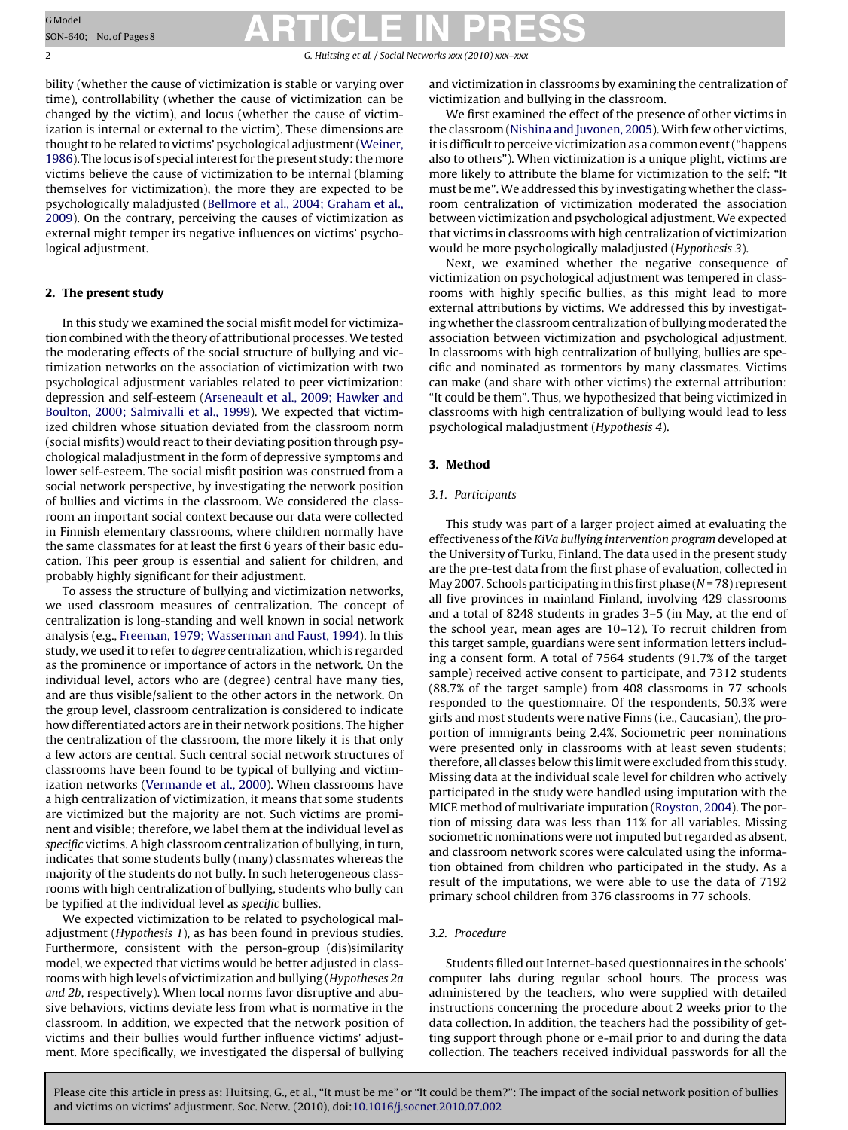2 G. Huitsing et al. / Social Networks *xxx (2010) xxx–xxx*

bility (whether the cause of victimization is stable or varying over time), controllability (whether the cause of victimization can be changed by the victim), and locus (whether the cause of victimization is internal or external to the victim). These dimensions are thought to be related to victims' psychological adjustment [\(Weiner,](#page-7-0) [1986\).](#page-7-0) The locus is of special interest for the present study: themore victims believe the cause of victimization to be internal (blaming themselves for victimization), the more they are expected to be psychologically maladjusted ([Bellmore et al., 2004; Graham et al.,](#page-6-0) [2009\).](#page-6-0) On the contrary, perceiving the causes of victimization as external might temper its negative influences on victims' psychological adjustment.

#### **2. The present study**

In this study we examined the social misfit model for victimization combined with the theory of attributional processes.We tested the moderating effects of the social structure of bullying and victimization networks on the association of victimization with two psychological adjustment variables related to peer victimization: depression and self-esteem ([Arseneault et al., 2009; Hawker and](#page-6-0) [Boulton, 2000; Salmivalli et al., 1999\).](#page-6-0) We expected that victimized children whose situation deviated from the classroom norm (social misfits) would react to their deviating position through psychological maladjustment in the form of depressive symptoms and lower self-esteem. The social misfit position was construed from a social network perspective, by investigating the network position of bullies and victims in the classroom. We considered the classroom an important social context because our data were collected in Finnish elementary classrooms, where children normally have the same classmates for at least the first 6 years of their basic education. This peer group is essential and salient for children, and probably highly significant for their adjustment.

To assess the structure of bullying and victimization networks, we used classroom measures of centralization. The concept of centralization is long-standing and well known in social network analysis (e.g., [Freeman, 1979; Wasserman and Faust, 1994\).](#page-7-0) In this study, we used it to refer to degree centralization, which is regarded as the prominence or importance of actors in the network. On the individual level, actors who are (degree) central have many ties, and are thus visible/salient to the other actors in the network. On the group level, classroom centralization is considered to indicate how differentiated actors are in their network positions. The higher the centralization of the classroom, the more likely it is that only a few actors are central. Such central social network structures of classrooms have been found to be typical of bullying and victimization networks [\(Vermande et al., 2000\).](#page-7-0) When classrooms have a high centralization of victimization, it means that some students are victimized but the majority are not. Such victims are prominent and visible; therefore, we label them at the individual level as specific victims. A high classroom centralization of bullying, in turn, indicates that some students bully (many) classmates whereas the majority of the students do not bully. In such heterogeneous classrooms with high centralization of bullying, students who bully can be typified at the individual level as specific bullies.

We expected victimization to be related to psychological maladjustment (Hypothesis 1), as has been found in previous studies. Furthermore, consistent with the person-group (dis)similarity model, we expected that victims would be better adjusted in classrooms with high levels of victimization and bullying (Hypotheses 2a and 2b, respectively). When local norms favor disruptive and abusive behaviors, victims deviate less from what is normative in the classroom. In addition, we expected that the network position of victims and their bullies would further influence victims' adjustment. More specifically, we investigated the dispersal of bullying

and victimization in classrooms by examining the centralization of victimization and bullying in the classroom.

We first examined the effect of the presence of other victims in the classroom [\(Nishina and Juvonen, 2005\).](#page-7-0) With few other victims, it is difficult to perceive victimization as a common event ("happens also to others"). When victimization is a unique plight, victims are more likely to attribute the blame for victimization to the self: "It must be me".We addressed this by investigating whether the classroom centralization of victimization moderated the association between victimization and psychological adjustment. We expected that victims in classrooms with high centralization of victimization would be more psychologically maladjusted (Hypothesis 3).

Next, we examined whether the negative consequence of victimization on psychological adjustment was tempered in classrooms with highly specific bullies, as this might lead to more external attributions by victims. We addressed this by investigating whether the classroom centralization of bullying moderated the association between victimization and psychological adjustment. In classrooms with high centralization of bullying, bullies are specific and nominated as tormentors by many classmates. Victims can make (and share with other victims) the external attribution: "It could be them". Thus, we hypothesized that being victimized in classrooms with high centralization of bullying would lead to less psychological maladjustment (Hypothesis 4).

#### **3. Method**

#### 3.1. Participants

This study was part of a larger project aimed at evaluating the effectiveness of the KiVa bullying intervention program developed at the University of Turku, Finland. The data used in the present study are the pre-test data from the first phase of evaluation, collected in May 2007. Schools participating in this first phase  $(N = 78)$  represent all five provinces in mainland Finland, involving 429 classrooms and a total of 8248 students in grades 3–5 (in May, at the end of the school year, mean ages are 10–12). To recruit children from this target sample, guardians were sent information letters including a consent form. A total of 7564 students (91.7% of the target sample) received active consent to participate, and 7312 students (88.7% of the target sample) from 408 classrooms in 77 schools responded to the questionnaire. Of the respondents, 50.3% were girls and most students were native Finns (i.e., Caucasian), the proportion of immigrants being 2.4%. Sociometric peer nominations were presented only in classrooms with at least seven students; therefore, all classes below this limit were excluded from this study. Missing data at the individual scale level for children who actively participated in the study were handled using imputation with the MICE method of multivariate imputation [\(Royston, 2004\).](#page-7-0) The portion of missing data was less than 11% for all variables. Missing sociometric nominations were not imputed but regarded as absent, and classroom network scores were calculated using the information obtained from children who participated in the study. As a result of the imputations, we were able to use the data of 7192 primary school children from 376 classrooms in 77 schools.

#### 3.2. Procedure

Students filled out Internet-based questionnaires in the schools' computer labs during regular school hours. The process was administered by the teachers, who were supplied with detailed instructions concerning the procedure about 2 weeks prior to the data collection. In addition, the teachers had the possibility of getting support through phone or e-mail prior to and during the data collection. The teachers received individual passwords for all the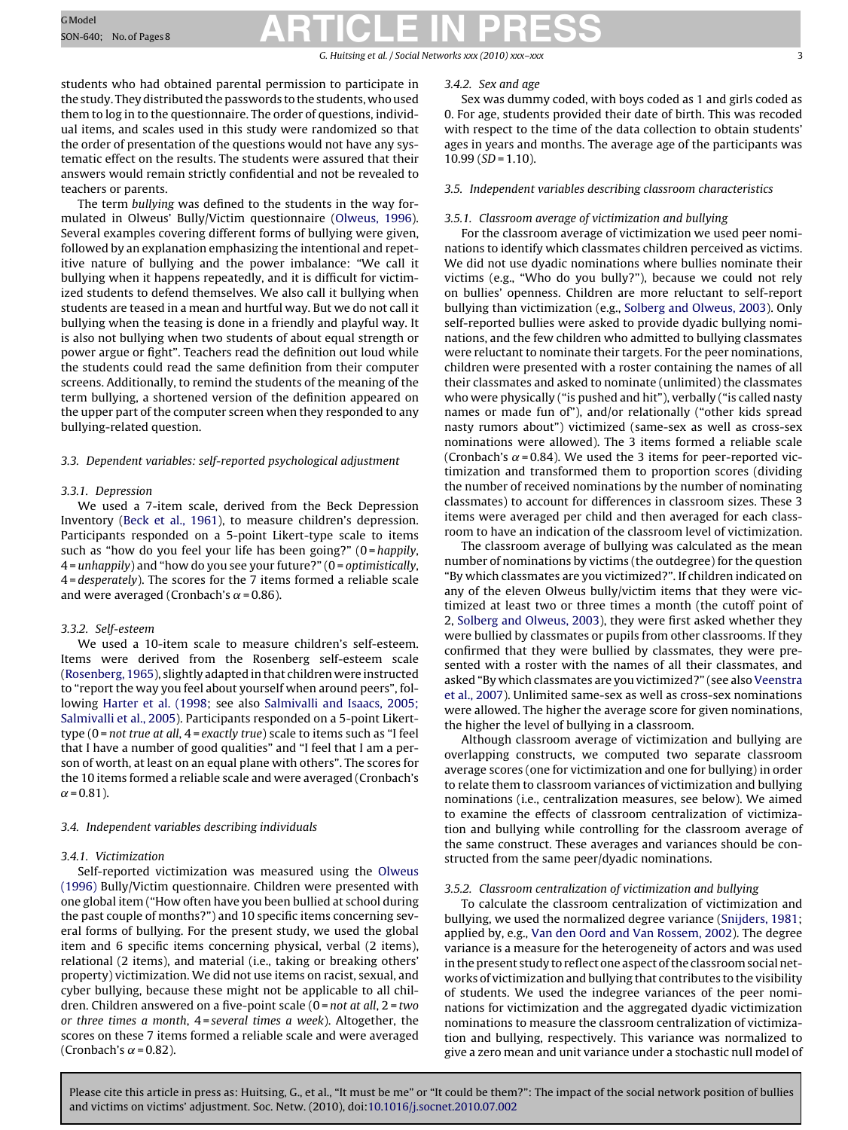### GModel ROACE IN PRESS

#### G. Huitsing et al. / Social Networks *xxx (2010) xxx–xxx* 3

students who had obtained parental permission to participate in the study. They distributed the passwords to the students, who used them to log in to the questionnaire. The order of questions, individual items, and scales used in this study were randomized so that the order of presentation of the questions would not have any systematic effect on the results. The students were assured that their answers would remain strictly confidential and not be revealed to teachers or parents.

The term bullying was defined to the students in the way formulated in Olweus' Bully/Victim questionnaire ([Olweus, 1996\).](#page-7-0) Several examples covering different forms of bullying were given, followed by an explanation emphasizing the intentional and repetitive nature of bullying and the power imbalance: "We call it bullying when it happens repeatedly, and it is difficult for victimized students to defend themselves. We also call it bullying when students are teased in a mean and hurtful way. But we do not call it bullying when the teasing is done in a friendly and playful way. It is also not bullying when two students of about equal strength or power argue or fight". Teachers read the definition out loud while the students could read the same definition from their computer screens. Additionally, to remind the students of the meaning of the term bullying, a shortened version of the definition appeared on the upper part of the computer screen when they responded to any bullying-related question.

#### 3.3. Dependent variables: self-reported psychological adjustment

#### 3.3.1. Depression

We used a 7-item scale, derived from the Beck Depression Inventory ([Beck et al., 1961\),](#page-6-0) to measure children's depression. Participants responded on a 5-point Likert-type scale to items such as "how do you feel your life has been going?"  $(0 = happily,$ 4 = unhappily) and "how do you see your future?" (0 = optimistically, 4 = desperately). The scores for the 7 items formed a reliable scale and were averaged (Cronbach's  $\alpha$  = 0.86).

#### 3.3.2. Self-esteem

We used a 10-item scale to measure children's self-esteem. Items were derived from the Rosenberg self-esteem scale ([Rosenberg, 1965\),](#page-7-0) slightly adapted in that children were instructed to "report the way you feel about yourself when around peers", following [Harter et al. \(1998;](#page-7-0) see also [Salmivalli and Isaacs, 2005;](#page-7-0) [Salmivalli et al., 2005\).](#page-7-0) Participants responded on a 5-point Likerttype (0 = not true at all,  $4$  = exactly true) scale to items such as "I feel that I have a number of good qualities" and "I feel that I am a person of worth, at least on an equal plane with others". The scores for the 10 items formed a reliable scale and were averaged (Cronbach's  $\alpha$  = 0.81).

#### 3.4. Independent variables describing individuals

#### 3.4.1. Victimization

Self-reported victimization was measured using the [Olweus](#page-7-0) [\(1996\)](#page-7-0) Bully/Victim questionnaire. Children were presented with one global item ("How often have you been bullied at school during the past couple of months?") and 10 specific items concerning several forms of bullying. For the present study, we used the global item and 6 specific items concerning physical, verbal (2 items), relational (2 items), and material (i.e., taking or breaking others' property) victimization. We did not use items on racist, sexual, and cyber bullying, because these might not be applicable to all children. Children answered on a five-point scale  $(0 = not at all, 2 = two$ or three times a month, 4= several times a week). Altogether, the scores on these 7 items formed a reliable scale and were averaged (Cronbach's  $\alpha$  = 0.82).

#### 3.4.2. Sex and age

Sex was dummy coded, with boys coded as 1 and girls coded as 0. For age, students provided their date of birth. This was recoded with respect to the time of the data collection to obtain students' ages in years and months. The average age of the participants was  $10.99$  (SD = 1.10).

#### 3.5. Independent variables describing classroom characteristics

#### 3.5.1. Classroom average of victimization and bullying

For the classroom average of victimization we used peer nominations to identify which classmates children perceived as victims. We did not use dyadic nominations where bullies nominate their victims (e.g., "Who do you bully?"), because we could not rely on bullies' openness. Children are more reluctant to self-report bullying than victimization (e.g., [Solberg and Olweus, 2003\).](#page-7-0) Only self-reported bullies were asked to provide dyadic bullying nominations, and the few children who admitted to bullying classmates were reluctant to nominate their targets. For the peer nominations, children were presented with a roster containing the names of all their classmates and asked to nominate (unlimited) the classmates who were physically ("is pushed and hit"), verbally ("is called nasty names or made fun of"), and/or relationally ("other kids spread nasty rumors about") victimized (same-sex as well as cross-sex nominations were allowed). The 3 items formed a reliable scale (Cronbach's  $\alpha$  = 0.84). We used the 3 items for peer-reported victimization and transformed them to proportion scores (dividing the number of received nominations by the number of nominating classmates) to account for differences in classroom sizes. These 3 items were averaged per child and then averaged for each classroom to have an indication of the classroom level of victimization.

The classroom average of bullying was calculated as the mean number of nominations by victims (the outdegree) for the question "By which classmates are you victimized?". If children indicated on any of the eleven Olweus bully/victim items that they were victimized at least two or three times a month (the cutoff point of 2, [Solberg and Olweus, 2003\),](#page-7-0) they were first asked whether they were bullied by classmates or pupils from other classrooms. If they confirmed that they were bullied by classmates, they were presented with a roster with the names of all their classmates, and asked "By which classmates are you victimized?" (see also [Veenstra](#page-7-0) [et al., 2007\).](#page-7-0) Unlimited same-sex as well as cross-sex nominations were allowed. The higher the average score for given nominations, the higher the level of bullying in a classroom.

Although classroom average of victimization and bullying are overlapping constructs, we computed two separate classroom average scores (one for victimization and one for bullying) in order to relate them to classroom variances of victimization and bullying nominations (i.e., centralization measures, see below). We aimed to examine the effects of classroom centralization of victimization and bullying while controlling for the classroom average of the same construct. These averages and variances should be constructed from the same peer/dyadic nominations.

#### 3.5.2. Classroom centralization of victimization and bullying

To calculate the classroom centralization of victimization and bullying, we used the normalized degree variance ([Snijders, 1981;](#page-7-0) applied by, e.g., [Van den Oord and Van Rossem, 2002\).](#page-7-0) The degree variance is a measure for the heterogeneity of actors and was used in the present study to reflect one aspect of the classroom social networks of victimization and bullying that contributes to the visibility of students. We used the indegree variances of the peer nominations for victimization and the aggregated dyadic victimization nominations to measure the classroom centralization of victimization and bullying, respectively. This variance was normalized to give a zero mean and unit variance under a stochastic null model of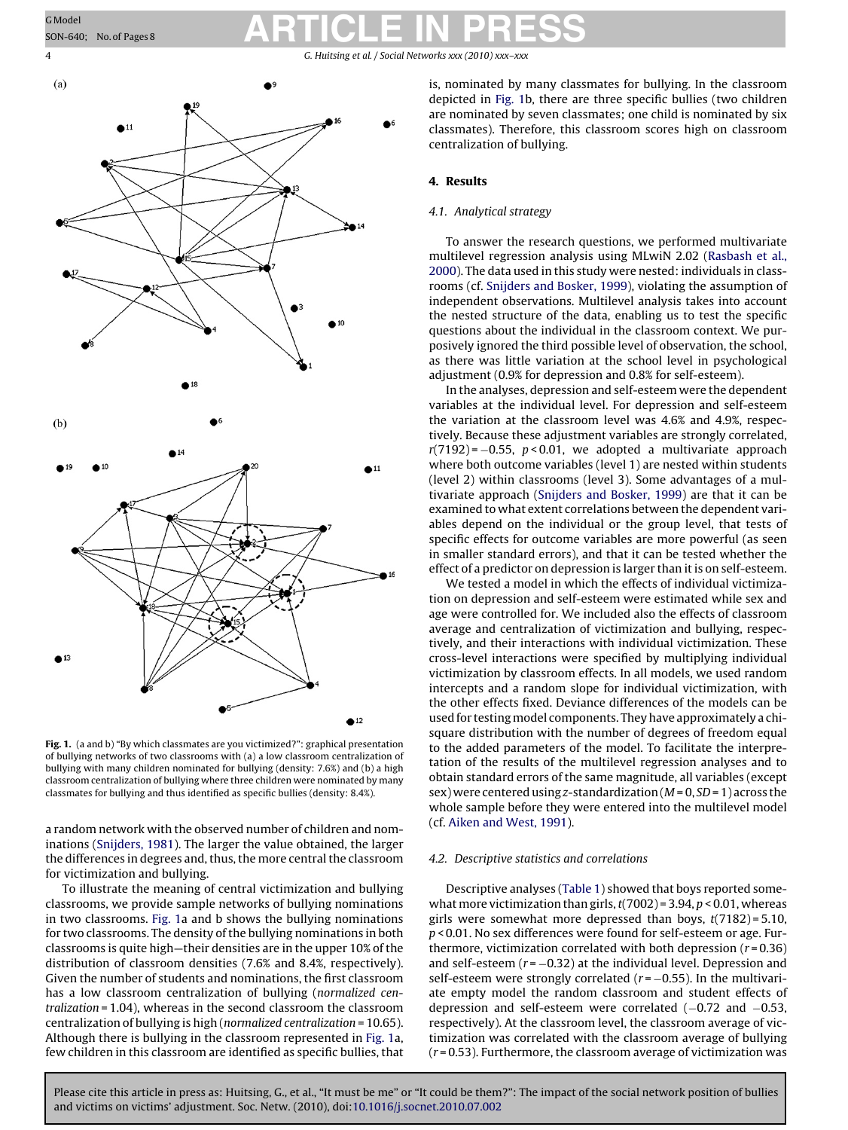4 G. Huitsing et al. / Social Networks *xxx (2010) xxx–xxx*





**Fig. 1.** (a and b) "By which classmates are you victimized?": graphical presentation of bullying networks of two classrooms with (a) a low classroom centralization of bullying with many children nominated for bullying (density: 7.6%) and (b) a high classroom centralization of bullying where three children were nominated by many classmates for bullying and thus identified as specific bullies (density: 8.4%).

a random network with the observed number of children and nominations [\(Snijders, 1981\).](#page-7-0) The larger the value obtained, the larger the differences in degrees and, thus, the more central the classroom for victimization and bullying.

To illustrate the meaning of central victimization and bullying classrooms, we provide sample networks of bullying nominations in two classrooms. Fig. 1a and b shows the bullying nominations for two classrooms. The density of the bullying nominations in both classrooms is quite high—their densities are in the upper 10% of the distribution of classroom densities (7.6% and 8.4%, respectively). Given the number of students and nominations, the first classroom has a low classroom centralization of bullying (normalized centralization = 1.04), whereas in the second classroom the classroom centralization of bullying is high (normalized centralization = 10.65). Although there is bullying in the classroom represented in Fig. 1a, few children in this classroom are identified as specific bullies, that is, nominated by many classmates for bullying. In the classroom depicted in Fig. 1b, there are three specific bullies (two children are nominated by seven classmates; one child is nominated by six classmates). Therefore, this classroom scores high on classroom centralization of bullying.

#### **4. Results**

#### 4.1. Analytical strategy

To answer the research questions, we performed multivariate multilevel regression analysis using MLwiN 2.02 [\(Rasbash et al.,](#page-7-0) [2000\).](#page-7-0) The data used in this study were nested: individuals in classrooms (cf. [Snijders and Bosker, 1999\),](#page-7-0) violating the assumption of independent observations. Multilevel analysis takes into account the nested structure of the data, enabling us to test the specific questions about the individual in the classroom context. We purposively ignored the third possible level of observation, the school, as there was little variation at the school level in psychological adjustment (0.9% for depression and 0.8% for self-esteem).

In the analyses, depression and self-esteem were the dependent variables at the individual level. For depression and self-esteem the variation at the classroom level was 4.6% and 4.9%, respectively. Because these adjustment variables are strongly correlated,  $r(7192) = -0.55$ ,  $p < 0.01$ , we adopted a multivariate approach where both outcome variables (level 1) are nested within students (level 2) within classrooms (level 3). Some advantages of a multivariate approach [\(Snijders and Bosker, 1999\)](#page-7-0) are that it can be examined to what extent correlations between the dependent variables depend on the individual or the group level, that tests of specific effects for outcome variables are more powerful (as seen in smaller standard errors), and that it can be tested whether the effect of a predictor on depression is larger than it is on self-esteem.

We tested a model in which the effects of individual victimization on depression and self-esteem were estimated while sex and age were controlled for. We included also the effects of classroom average and centralization of victimization and bullying, respectively, and their interactions with individual victimization. These cross-level interactions were specified by multiplying individual victimization by classroom effects. In all models, we used random intercepts and a random slope for individual victimization, with the other effects fixed. Deviance differences of the models can be used for testing model components. They have approximately a chisquare distribution with the number of degrees of freedom equal to the added parameters of the model. To facilitate the interpretation of the results of the multilevel regression analyses and to obtain standard errors of the same magnitude, all variables (except sex) were centered using z-standardization  $(M = 0, SD = 1)$  across the whole sample before they were entered into the multilevel model (cf. [Aiken and West, 1991\).](#page-6-0)

#### 4.2. Descriptive statistics and correlations

Descriptive analyses [\(Table 1\) s](#page-4-0)howed that boys reported somewhat more victimization than girls,  $t(7002)$  = 3.94,  $p < 0.01$ , whereas girls were somewhat more depressed than boys,  $t(7182) = 5.10$ , p < 0.01. No sex differences were found for self-esteem or age. Furthermore, victimization correlated with both depression  $(r=0.36)$ and self-esteem  $(r = -0.32)$  at the individual level. Depression and self-esteem were strongly correlated ( $r = -0.55$ ). In the multivariate empty model the random classroom and student effects of depression and self-esteem were correlated (-0.72 and -0.53, respectively). At the classroom level, the classroom average of victimization was correlated with the classroom average of bullying  $(r=0.53)$ . Furthermore, the classroom average of victimization was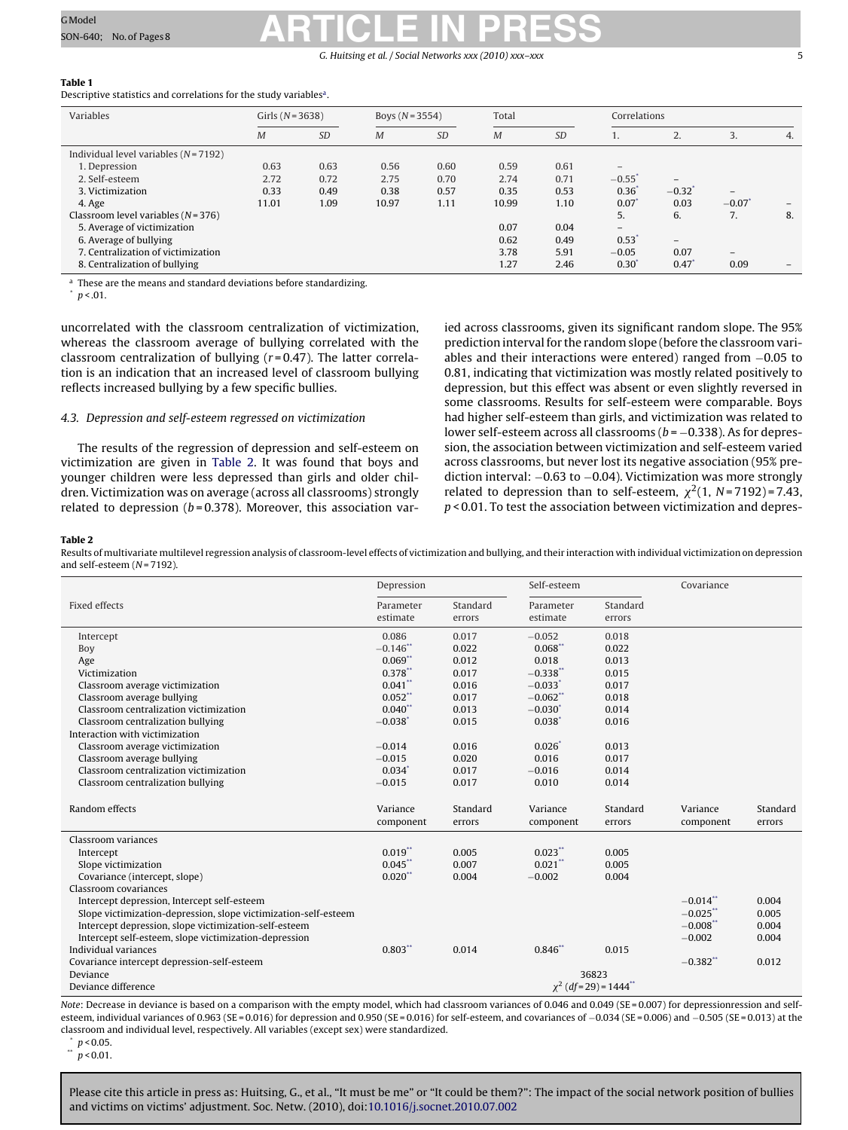### <span id="page-4-0"></span>GModel Roch Roch Pages **ARTICLE IN PRESS** G. Huitsing et al. / Social Networks *xxx (2010) xxx–xxx* 5

#### **Table 1**

Descriptive statistics and correlations for the study variables<sup>a</sup>.

| Variables                               | Girls $(N = 3638)$ |           | Boys $(N = 3554)$ |           | Total |           | Correlations     |                      |                          |    |
|-----------------------------------------|--------------------|-----------|-------------------|-----------|-------|-----------|------------------|----------------------|--------------------------|----|
|                                         | M                  | <b>SD</b> | M                 | <b>SD</b> | M     | <b>SD</b> | 1.               | 2.                   | 3.                       | 4. |
| Individual level variables $(N = 7192)$ |                    |           |                   |           |       |           |                  |                      |                          |    |
| 1. Depression                           | 0.63               | 0.63      | 0.56              | 0.60      | 0.59  | 0.61      | $-$              |                      |                          |    |
| 2. Self-esteem                          | 2.72               | 0.72      | 2.75              | 0.70      | 2.74  | 0.71      | $-0.55$          | -                    |                          |    |
| 3. Victimization                        | 0.33               | 0.49      | 0.38              | 0.57      | 0.35  | 0.53      | $0.36^{*}$       | $-0.32$ <sup>*</sup> | $\overline{\phantom{0}}$ |    |
| 4. Age                                  | 11.01              | 1.09      | 10.97             | 1.11      | 10.99 | 1.10      | 0.07             | 0.03                 | $-0.07$ <sup>*</sup>     | -  |
| Classroom level variables $(N = 376)$   |                    |           |                   |           |       |           | 5.               | 6.                   | $\overline{\phantom{a}}$ | 8. |
| 5. Average of victimization             |                    |           |                   |           | 0.07  | 0.04      | $-$              |                      |                          |    |
| 6. Average of bullying                  |                    |           |                   |           | 0.62  | 0.49      | 0.53             | -                    |                          |    |
| 7. Centralization of victimization      |                    |           |                   |           | 3.78  | 5.91      | $-0.05$          | 0.07                 | $\overline{\phantom{a}}$ |    |
| 8. Centralization of bullying           |                    |           |                   |           | 1.27  | 2.46      | $0.30^{\degree}$ | 0.47                 | 0.09                     |    |

a These are the means and standard deviations before standardizing.

 $p < .01$ .

uncorrelated with the classroom centralization of victimization, whereas the classroom average of bullying correlated with the classroom centralization of bullying  $(r=0.47)$ . The latter correlation is an indication that an increased level of classroom bullying reflects increased bullying by a few specific bullies.

#### 4.3. Depression and self-esteem regressed on victimization

The results of the regression of depression and self-esteem on victimization are given in Table 2. It was found that boys and younger children were less depressed than girls and older children. Victimization was on average (across all classrooms) strongly related to depression ( $b = 0.378$ ). Moreover, this association varied across classrooms, given its significant random slope. The 95% prediction interval for the random slope (before the classroom variables and their interactions were entered) ranged from −0.05 to 0.81, indicating that victimization was mostly related positively to depression, but this effect was absent or even slightly reversed in some classrooms. Results for self-esteem were comparable. Boys had higher self-esteem than girls, and victimization was related to lower self-esteem across all classrooms ( $b = -0.338$ ). As for depression, the association between victimization and self-esteem varied across classrooms, but never lost its negative association (95% prediction interval: −0.63 to −0.04). Victimization was more strongly related to depression than to self-esteem,  $\chi^2(1, N = 7192) = 7.43$ ,  $p$  < 0.01. To test the association between victimization and depres-

#### **Table 2**

Results of multivariate multilevel regression analysis of classroom-level effects of victimization and bullying, and their interaction with individual victimization on depression and self-esteem  $(N = 7192)$ .

|                                                                 | Depression            |                                        | Self-esteem           |                    | Covariance             |          |  |  |
|-----------------------------------------------------------------|-----------------------|----------------------------------------|-----------------------|--------------------|------------------------|----------|--|--|
| Fixed effects                                                   | Parameter<br>estimate | Standard<br>errors                     | Parameter<br>estimate | Standard<br>errors |                        |          |  |  |
| Intercept                                                       | 0.086                 | 0.017                                  | $-0.052$              | 0.018              |                        |          |  |  |
| Boy                                                             | $-0.146$ **           | 0.022                                  | $0.068$ **            | 0.022              |                        |          |  |  |
| Age                                                             | $0.069**$             | 0.012                                  | 0.018                 | 0.013              |                        |          |  |  |
| Victimization                                                   | $0.378**$             | 0.017                                  | $-0.338$ **           | 0.015              |                        |          |  |  |
| Classroom average victimization                                 | $0.041**$             | 0.016                                  | $-0.033$ <sup>*</sup> | 0.017              |                        |          |  |  |
| Classroom average bullying                                      | $0.052$ **            | 0.017                                  | $-0.062$ **           | 0.018              |                        |          |  |  |
| Classroom centralization victimization                          | $0.040$ **            | 0.013                                  | $-0.030$ <sup>*</sup> | 0.014              |                        |          |  |  |
| Classroom centralization bullying                               | $-0.038$ <sup>*</sup> | 0.015                                  | $0.038*$              | 0.016              |                        |          |  |  |
| Interaction with victimization                                  |                       |                                        |                       |                    |                        |          |  |  |
| Classroom average victimization                                 | $-0.014$              | 0.016                                  | 0.026                 | 0.013              |                        |          |  |  |
| Classroom average bullying                                      | $-0.015$              | 0.020                                  | 0.016                 | 0.017              |                        |          |  |  |
| Classroom centralization victimization                          | $0.034*$              | 0.017                                  | $-0.016$              | 0.014              |                        |          |  |  |
| Classroom centralization bullying                               | $-0.015$              | 0.017                                  | 0.010                 | 0.014              |                        |          |  |  |
| Random effects                                                  | Variance              | Standard                               | Variance              | Standard           | Variance               | Standard |  |  |
|                                                                 | component             | errors                                 | component             | errors             | component              | errors   |  |  |
| Classroom variances                                             |                       |                                        |                       |                    |                        |          |  |  |
| Intercept                                                       | 0.019                 | 0.005                                  | $0.023$ **            | 0.005              |                        |          |  |  |
| Slope victimization                                             | $0.045$ **            | 0.007                                  | $0.021$ **            | 0.005              |                        |          |  |  |
| Covariance (intercept, slope)                                   | 0.020                 | 0.004                                  | $-0.002$              | 0.004              |                        |          |  |  |
| Classroom covariances                                           |                       |                                        |                       |                    |                        |          |  |  |
| Intercept depression, Intercept self-esteem                     |                       |                                        |                       |                    | $-0.014$ <sup>**</sup> | 0.004    |  |  |
| Slope victimization-depression, slope victimization-self-esteem |                       |                                        |                       |                    | $-0.025$ **            | 0.005    |  |  |
| Intercept depression, slope victimization-self-esteem           |                       |                                        |                       |                    | $-0.008$ **            | 0.004    |  |  |
| Intercept self-esteem, slope victimization-depression           |                       |                                        |                       |                    | $-0.002$               | 0.004    |  |  |
| Individual variances                                            | $0.803$ **            | 0.014                                  | $0.846$ **            | 0.015              |                        |          |  |  |
| Covariance intercept depression-self-esteem                     |                       |                                        |                       |                    | $-0.382$ **            | 0.012    |  |  |
| Deviance                                                        |                       | 36823                                  |                       |                    |                        |          |  |  |
| Deviance difference                                             |                       | $\chi^2$ (df = 29) = 1444 <sup>*</sup> |                       |                    |                        |          |  |  |

Note: Decrease in deviance is based on a comparison with the empty model, which had classroom variances of 0.046 and 0.049 (SE=0.007) for depressionression and selfesteem, individual variances of 0.963 (SE = 0.016) for depression and 0.950 (SE = 0.016) for self-esteem, and covariances of −0.034 (SE = 0.006) and −0.505 (SE = 0.013) at the classroom and individual level, respectively. All variables (except sex) were standardized.

 $p < 0.05$ .  $p < 0.01$ .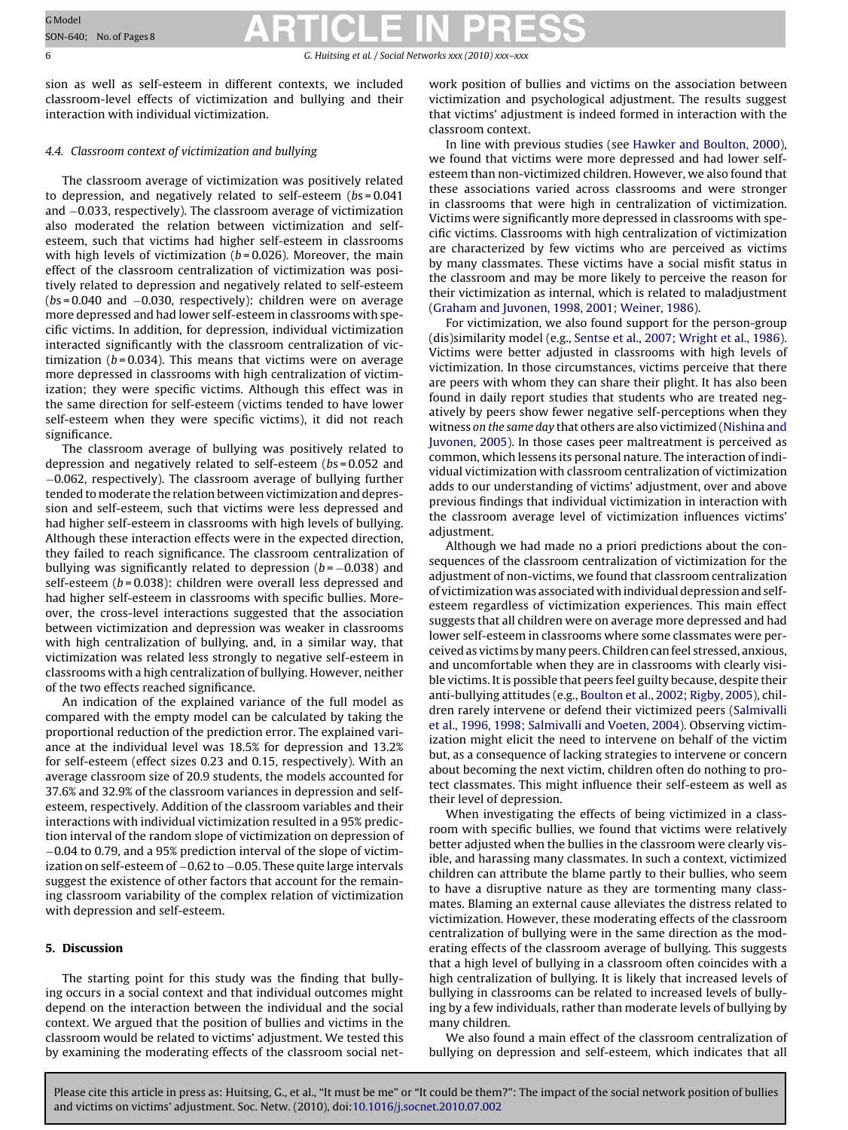6 G. Huitsing et al. / Social Networks *xxx (2010) xxx–xxx*

sion as well as self-esteem in different contexts, we included classroom-level effects of victimization and bullying and their interaction with individual victimization.

### 4.4. Classroom context of victimization and bullying

The classroom average of victimization was positively related to depression, and negatively related to self-esteem (bs = 0.041 and −0.033, respectively). The classroom average of victimization also moderated the relation between victimization and selfesteem, such that victims had higher self-esteem in classrooms with high levels of victimization  $(b=0.026)$ . Moreover, the main effect of the classroom centralization of victimization was positively related to depression and negatively related to self-esteem (bs = 0.040 and −0.030, respectively): children were on average more depressed and had lower self-esteem in classrooms with specific victims. In addition, for depression, individual victimization interacted significantly with the classroom centralization of victimization ( $b = 0.034$ ). This means that victims were on average more depressed in classrooms with high centralization of victimization; they were specific victims. Although this effect was in the same direction for self-esteem (victims tended to have lower self-esteem when they were specific victims), it did not reach significance.

The classroom average of bullying was positively related to depression and negatively related to self-esteem (bs = 0.052 and −0.062, respectively). The classroom average of bullying further tended to moderate the relation between victimization and depression and self-esteem, such that victims were less depressed and had higher self-esteem in classrooms with high levels of bullying. Although these interaction effects were in the expected direction, they failed to reach significance. The classroom centralization of bullying was significantly related to depression  $(b = -0.038)$  and self-esteem  $(b = 0.038)$ : children were overall less depressed and had higher self-esteem in classrooms with specific bullies. Moreover, the cross-level interactions suggested that the association between victimization and depression was weaker in classrooms with high centralization of bullying, and, in a similar way, that victimization was related less strongly to negative self-esteem in classrooms with a high centralization of bullying. However, neither of the two effects reached significance.

An indication of the explained variance of the full model as compared with the empty model can be calculated by taking the proportional reduction of the prediction error. The explained variance at the individual level was 18.5% for depression and 13.2% for self-esteem (effect sizes 0.23 and 0.15, respectively). With an average classroom size of 20.9 students, the models accounted for 37.6% and 32.9% of the classroom variances in depression and selfesteem, respectively. Addition of the classroom variables and their interactions with individual victimization resulted in a 95% prediction interval of the random slope of victimization on depression of −0.04 to 0.79, and a 95% prediction interval of the slope of victimization on self-esteem of −0.62 to −0.05. These quite large intervals suggest the existence of other factors that account for the remaining classroom variability of the complex relation of victimization with depression and self-esteem.

### **5. Discussion**

The starting point for this study was the finding that bullying occurs in a social context and that individual outcomes might depend on the interaction between the individual and the social context. We argued that the position of bullies and victims in the classroom would be related to victims' adjustment. We tested this by examining the moderating effects of the classroom social network position of bullies and victims on the association between victimization and psychological adjustment. The results suggest that victims' adjustment is indeed formed in interaction with the classroom context.

In line with previous studies (see [Hawker and Boulton, 2000\),](#page-7-0) we found that victims were more depressed and had lower selfesteem than non-victimized children. However, we also found that these associations varied across classrooms and were stronger in classrooms that were high in centralization of victimization. Victims were significantly more depressed in classrooms with specific victims. Classrooms with high centralization of victimization are characterized by few victims who are perceived as victims by many classmates. These victims have a social misfit status in the classroom and may be more likely to perceive the reason for their victimization as internal, which is related to maladjustment [\(Graham and Juvonen, 1998, 2001; Weiner, 1986\).](#page-7-0)

For victimization, we also found support for the person-group (dis)similarity model (e.g., [Sentse et al., 2007; Wright et al., 1986\).](#page-7-0) Victims were better adjusted in classrooms with high levels of victimization. In those circumstances, victims perceive that there are peers with whom they can share their plight. It has also been found in daily report studies that students who are treated negatively by peers show fewer negative self-perceptions when they witness on the same day that others are also victimized [\(Nishina and](#page-7-0) [Juvonen, 2005\).](#page-7-0) In those cases peer maltreatment is perceived as common, which lessens its personal nature. The interaction of individual victimization with classroom centralization of victimization adds to our understanding of victims' adjustment, over and above previous findings that individual victimization in interaction with the classroom average level of victimization influences victims' adiustment.

Although we had made no a priori predictions about the consequences of the classroom centralization of victimization for the adjustment of non-victims, we found that classroom centralization of victimization was associated with individual depression and selfesteem regardless of victimization experiences. This main effect suggests that all children were on average more depressed and had lower self-esteem in classrooms where some classmates were perceived as victims bymany peers. Children can feel stressed, anxious, and uncomfortable when they are in classrooms with clearly visible victims. It is possible that peers feel guilty because, despite their anti-bullying attitudes (e.g., [Boulton et al., 2002; Rigby, 2005\),](#page-7-0) children rarely intervene or defend their victimized peers [\(Salmivalli](#page-7-0) [et al., 1996, 1998; Salmivalli and Voeten, 2004\).](#page-7-0) Observing victimization might elicit the need to intervene on behalf of the victim but, as a consequence of lacking strategies to intervene or concern about becoming the next victim, children often do nothing to protect classmates. This might influence their self-esteem as well as their level of depression.

When investigating the effects of being victimized in a classroom with specific bullies, we found that victims were relatively better adjusted when the bullies in the classroom were clearly visible, and harassing many classmates. In such a context, victimized children can attribute the blame partly to their bullies, who seem to have a disruptive nature as they are tormenting many classmates. Blaming an external cause alleviates the distress related to victimization. However, these moderating effects of the classroom centralization of bullying were in the same direction as the moderating effects of the classroom average of bullying. This suggests that a high level of bullying in a classroom often coincides with a high centralization of bullying. It is likely that increased levels of bullying in classrooms can be related to increased levels of bullying by a few individuals, rather than moderate levels of bullying by many children.

We also found a main effect of the classroom centralization of bullying on depression and self-esteem, which indicates that all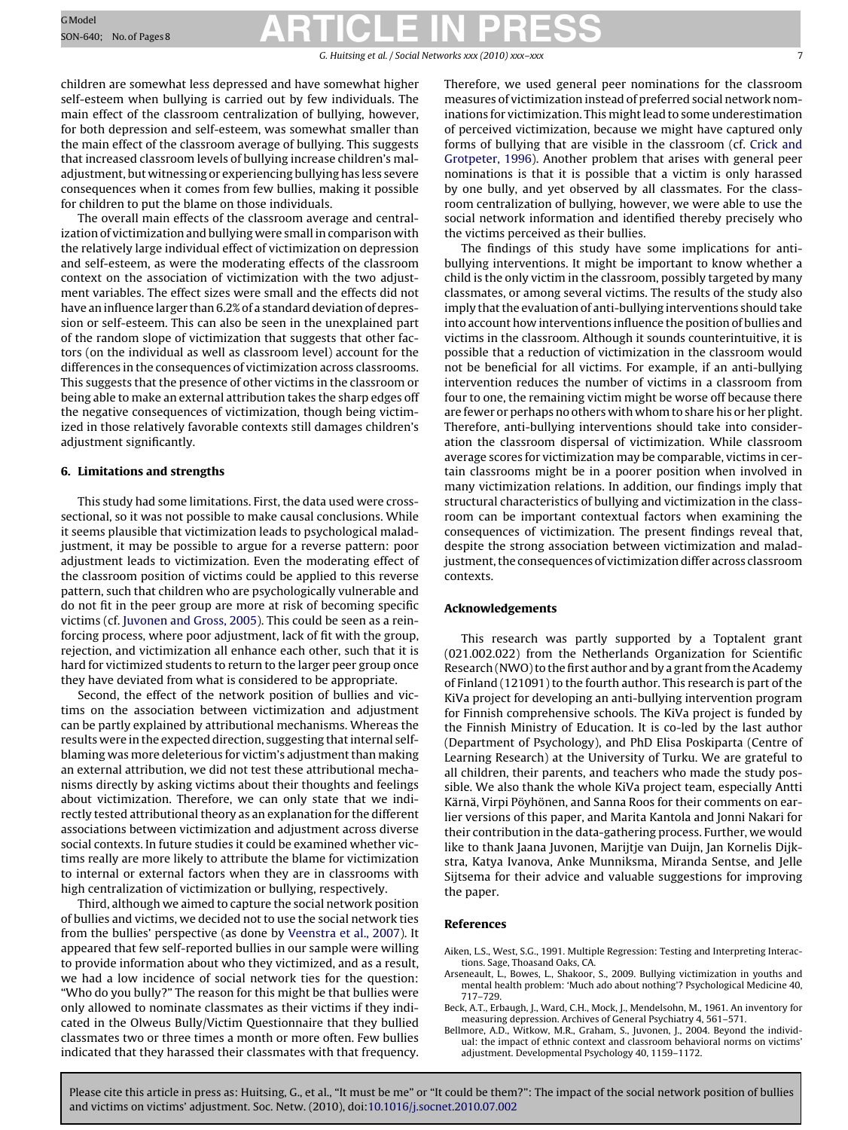### <span id="page-6-0"></span>GModel ROACE IN PRESS

children are somewhat less depressed and have somewhat higher self-esteem when bullying is carried out by few individuals. The main effect of the classroom centralization of bullying, however, for both depression and self-esteem, was somewhat smaller than the main effect of the classroom average of bullying. This suggests that increased classroom levels of bullying increase children's maladjustment, but witnessing or experiencing bullying has less severe consequences when it comes from few bullies, making it possible for children to put the blame on those individuals.

The overall main effects of the classroom average and centralization of victimization and bullying were small in comparison with the relatively large individual effect of victimization on depression and self-esteem, as were the moderating effects of the classroom context on the association of victimization with the two adjustment variables. The effect sizes were small and the effects did not have an influence larger than 6.2% of a standard deviation of depression or self-esteem. This can also be seen in the unexplained part of the random slope of victimization that suggests that other factors (on the individual as well as classroom level) account for the differences in the consequences of victimization across classrooms. This suggests that the presence of other victims in the classroom or being able to make an external attribution takes the sharp edges off the negative consequences of victimization, though being victimized in those relatively favorable contexts still damages children's adjustment significantly.

#### **6. Limitations and strengths**

This study had some limitations. First, the data used were crosssectional, so it was not possible to make causal conclusions. While it seems plausible that victimization leads to psychological maladjustment, it may be possible to argue for a reverse pattern: poor adjustment leads to victimization. Even the moderating effect of the classroom position of victims could be applied to this reverse pattern, such that children who are psychologically vulnerable and do not fit in the peer group are more at risk of becoming specific victims (cf. [Juvonen and Gross, 2005\).](#page-7-0) This could be seen as a reinforcing process, where poor adjustment, lack of fit with the group, rejection, and victimization all enhance each other, such that it is hard for victimized students to return to the larger peer group once they have deviated from what is considered to be appropriate.

Second, the effect of the network position of bullies and victims on the association between victimization and adjustment can be partly explained by attributional mechanisms. Whereas the results were in the expected direction, suggesting that internal selfblaming was more deleterious for victim's adjustment than making an external attribution, we did not test these attributional mechanisms directly by asking victims about their thoughts and feelings about victimization. Therefore, we can only state that we indirectly tested attributional theory as an explanation for the different associations between victimization and adjustment across diverse social contexts. In future studies it could be examined whether victims really are more likely to attribute the blame for victimization to internal or external factors when they are in classrooms with high centralization of victimization or bullying, respectively.

Third, although we aimed to capture the social network position of bullies and victims, we decided not to use the social network ties from the bullies' perspective (as done by [Veenstra et al., 2007\).](#page-7-0) It appeared that few self-reported bullies in our sample were willing to provide information about who they victimized, and as a result, we had a low incidence of social network ties for the question: "Who do you bully?" The reason for this might be that bullies were only allowed to nominate classmates as their victims if they indicated in the Olweus Bully/Victim Questionnaire that they bullied classmates two or three times a month or more often. Few bullies indicated that they harassed their classmates with that frequency.

Therefore, we used general peer nominations for the classroom measures of victimization instead of preferred social network nominations for victimization. This might lead to some underestimation of perceived victimization, because we might have captured only forms of bullying that are visible in the classroom (cf. [Crick and](#page-7-0) [Grotpeter, 1996\).](#page-7-0) Another problem that arises with general peer nominations is that it is possible that a victim is only harassed by one bully, and yet observed by all classmates. For the classroom centralization of bullying, however, we were able to use the social network information and identified thereby precisely who the victims perceived as their bullies.

The findings of this study have some implications for antibullying interventions. It might be important to know whether a child is the only victim in the classroom, possibly targeted by many classmates, or among several victims. The results of the study also imply that the evaluation of anti-bullying interventions should take into account how interventions influence the position of bullies and victims in the classroom. Although it sounds counterintuitive, it is possible that a reduction of victimization in the classroom would not be beneficial for all victims. For example, if an anti-bullying intervention reduces the number of victims in a classroom from four to one, the remaining victim might be worse off because there are fewer or perhaps no others with whom to share his or her plight. Therefore, anti-bullying interventions should take into consideration the classroom dispersal of victimization. While classroom average scores for victimization may be comparable, victims in certain classrooms might be in a poorer position when involved in many victimization relations. In addition, our findings imply that structural characteristics of bullying and victimization in the classroom can be important contextual factors when examining the consequences of victimization. The present findings reveal that, despite the strong association between victimization and maladjustment, the consequences of victimization differ across classroom contexts.

#### **Acknowledgements**

This research was partly supported by a Toptalent grant (021.002.022) from the Netherlands Organization for Scientific Research (NWO) to the first author and by a grant from the Academy of Finland (121091) to the fourth author. This research is part of the KiVa project for developing an anti-bullying intervention program for Finnish comprehensive schools. The KiVa project is funded by the Finnish Ministry of Education. It is co-led by the last author (Department of Psychology), and PhD Elisa Poskiparta (Centre of Learning Research) at the University of Turku. We are grateful to all children, their parents, and teachers who made the study possible. We also thank the whole KiVa project team, especially Antti Kärnä, Virpi Pöyhönen, and Sanna Roos for their comments on earlier versions of this paper, and Marita Kantola and Jonni Nakari for their contribution in the data-gathering process. Further, we would like to thank Jaana Juvonen, Marijtje van Duijn, Jan Kornelis Dijkstra, Katya Ivanova, Anke Munniksma, Miranda Sentse, and Jelle Sijtsema for their advice and valuable suggestions for improving the paper.

#### **References**

- Aiken, L.S., West, S.G., 1991. Multiple Regression: Testing and Interpreting Interactions. Sage, Thoasand Oaks, CA.
- Arseneault, L., Bowes, L., Shakoor, S., 2009. Bullying victimization in youths and mental health problem: 'Much ado about nothing'? Psychological Medicine 40, 717–729.
- Beck, A.T., Erbaugh, J., Ward, C.H., Mock, J., Mendelsohn, M., 1961. An inventory for measuring depression. Archives of General Psychiatry 4, 561–571.
- Bellmore, A.D., Witkow, M.R., Graham, S., Juvonen, J., 2004. Beyond the individual: the impact of ethnic context and classroom behavioral norms on victims' adjustment. Developmental Psychology 40, 1159–1172.